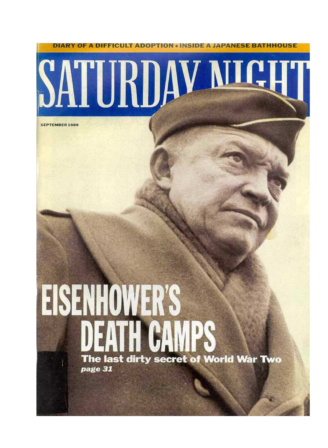

# EISENHOWER'S The last dirty secret of World War Two page 31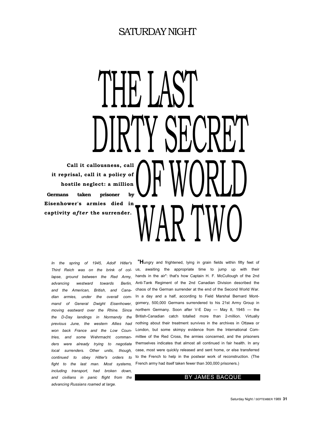# SATURDAY NIGHT

THE LAST Y SECR OF WORLD WAR I WU **Call it callousness, call it reprisal, call it a policy of hostile neglect: a million Germans taken prisoner by Eisenhower's armies died in** captivity *after* the surrender.

*In the spring of 1945, Adolf Hitler's lapse, ground between the Red Army, advancing westward towards Berlin, and the American, British, and Canadian armies, under the overall command of General Dwight Eisenhower, moving eastward over the Rhine. Since the D-Day landings in Normandy the ders were already trying to negotiate local surrenders. Other units, though, continued to obey Hitler's orders to fight to the last man. Most systems, including transport, had broken down, and civilians in panic flight from the advancing Russians roamed at large.* 

*Third Reich was on the brink of col*-us, awaiting the appropriate time to jump up with their previous June, the western Allies had nothing about their treatment survives in the archives in Ottawa or won back France and the Low Coun- London, but some skimpy evidence from the International Com*tries, and some* Wehrmacht *comman*-mittee of the Red Cross, the armies concerned, and the prisoners "**H**ungry and frightened, lying in grain fields within fifty feet of hands in the air": that's how Captain H. F. McCullough of the 2nd Anti-Tank Regiment of the 2nd Canadian Division described the chaos of the German surrender at the end of the Second World War. In a day and a half, according to Field Marshal Bernard Montgomery, 500,000 Germans surrendered to his 21st Army Group in northern Germany. Soon after V-E Day — May 8, 1945 — the British-Canadian catch totalled more than 2-million. Virtually themselves indicates that almost all continued in fair health. In any case, most were quickly released and sent home, or else transferred to the French to help in the postwar work of reconstruction. (The French army had itself taken fewer than 300,000 prisoners.)

#### BY JAMES BACQUE

Saturday Night / SEPTEMBER 1989 **31**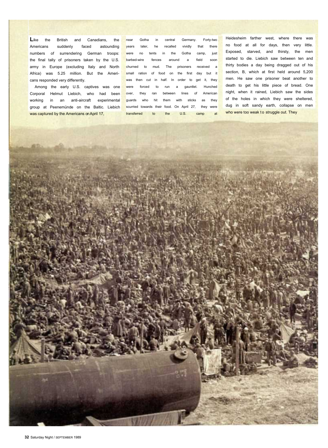Like the British and Canadians, the Americans suddenly faced astounding numbers of surrendering German troops: the final tally of prisoners taken by the U.S. army in Europe (excluding Italy and North Africa) was 5.25 million. But the Americans responded very differently.

Among the early U.S. captives was one Corporal Helmut Liebich, who had been working in an anti-aircraft experimental group at Peenemünde on the Baltic. Liebich was captured by the Americans on April 17,

near Gotha in central Germany. Forty-two years later, he recalled vividly that there were no tents in the Gotha camp, just **barbed-wire** fences around a field soon churned to mud. The prisoners received a small ration of food on the first day but it was then cut in half. In order to get it, they were forced to run a gauntlet. Hunched over they ran between lines of American guards who hit them with sticks as they scurried towards their food. On April 27, they were transferred to the U.S. camp at

Heidesheim farther west, where there was no food at all for days, then very little. Exposed, starved, and thirsty, the men started to die. Liebich saw between ten and thirty bodies a day being dragged out of his section, B, which at first held around 5,200 men. He saw one prisoner beat another to death to get his little piece of bread. One night, when it rained, Liebich saw the sides of the holes in which they were sheltered, dug in soft sandy earth, collapse on men who were too weak to struggle out. They

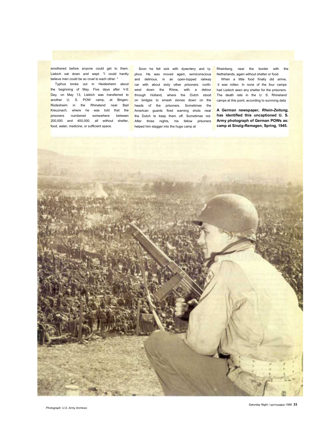believe men could be so cruel to each other. "

the beginning of May. Five days after V-E Day, on May 13, Liebich was transferred to another U. S. POW camp, at Bingen-on bridges to smash stones down on the Rüdesheim in the Rhineland near Bad heads of the prisoners. Sometimes the Kreuznach, where he was told that the prisoners numbered somewhere between 200,000 and 400,000, all without shelter, After three nights, his fellow prisoners food, water, medicine, or sufficient space.

smothered before anyone could get to them. Soon he fell sick with dysentery and ty- Rheinberg, near the border with the Liebich sat down and wept. "I could hardly phus. He was moved again, semiconscious Netherlands, againwithoutshelterorfood. Typhus broke out in Heidesheim about car with about sixty other prisoners: northand delirious, in an open-topped railway west down the Rhine, with a detour through Holland, where the Dutch stood American guards fired warning shots near the Dutch to keep them off. Sometimes not. helped him stagger into the huge camp at

When a little food finally did arrive, it was rotten. In none of the four camps had Liebich seen any shelter for the prisoners. The death rate in the U. S. Rhineland camps at this point, according to surviving data

**A German newspaper,** *Rhein-Zeitung,* **has identified this uncaptioned U. S. Army photograph of German POWs as: camp at Sinzig-Remagen, Spring, 1945.**



*Photograph: U.S. Army Archives*

Saturday Night / SEPTEMBER 1989 **33**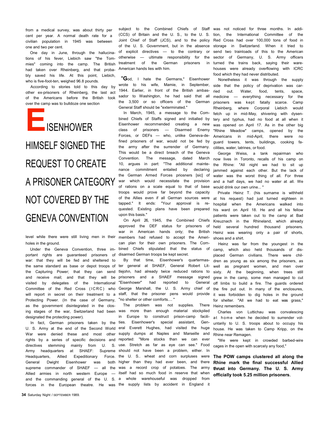from a medical survey, was about thirty per cent per year. A normal death rate for a civilian population in 1945 was between one and two per cent.

One day in June, through the hallucinations of his fever, Liebich saw "the Tommies" coming into the camp. The British had taken over Rheinberg, and that probably saved his life. At this point, Liebich, who is five-foot-ten, weighed 96.8 pounds.

According to stories told to this day by other ex-prisoners of Rheinberg, the last act of the Americans before the British took over the camp was to bulldoze one section

**E**ISENHOWER HIMSELF SIGNED THE REQUEST TO CREATE A PRISONER CATEGORY NOT COVERED BY THE GENEVA CONVENTION

level while there were still living men in their holes in the ground.

Under the Geneva Convention, three important rights are guaranteed prisoners of war: that they will be fed and sheltered to the same standard as base or depot troops of visited by delegates of the International "Eisenhower" Protecting Power. (In the case of Germany, "no shelter or other comforts.... " as the government disintegrated in the closdesignated the protecting power).

In fact, German prisoners taken by the ties. Army headquarters at SHAEF: Headquarters, Allied Expeditionary General Dwight Eisenhower was supreme commander of SHAEF Allied armies in north western Europe forces in the European theatre. He was the supply lists by accident in England it

**34** Saturday Night / SEPTEMBER 1989.

subject to the Combined Chiefs of Staff was not noticed for three months. In addi-(CCS) of Britain and the U. S., to the U. S. tion, the International Committee of the Joint Chief of Staff (JCS), and to the policy of the U. S. Government, but in the absence storage in Switzerland. When it tried to of explicit directives — to the contrary or otherwise — ultimate responsibility for the treatment of the German prisoners in turned the American hands lies with him.

"**G**od, I hate the Germans," Eisenhower wrote to his wife, Mamie, in September, side that the policy of deprivation was car-1944. Earlier, in front of the British ambassador to Washington, he had said that all the 3,500 or so officers of the German General Staff should be "exterminated."

In March, 1945, a message to the Combined Chiefs of Staffs signed and initialled by Eisenhower recommended creating a new class of prisoners — Disarmed Enemy "Rhine Meadow" camps, opened by the Forces, or DEFs — who, unlike Geneva-de-Americans in mid-April, there were no fined prisoners of war, would not be fed by guard towers, tents, buildings, cooking fathe army after the surrender of Germany. This would be a direct breach of the Geneva Convention. The message, dated 10, argues in part: "The additional maintenance commitment entailed by declaring the German Armed Forces priosners [sic] of war which would necessitate the provision and a half days, we had no water at all. We of rations on a scale equal to that of base would drink our own urine... " troops would prove far beyond the capacity of the Allies even if all German sources were at his request) had just turned eighteen in tapped." It ends: "Your approval is re-hospital when the Americans walked into quested. Existing plans have been prepared upon this basis."

On April 26, 1945, the Combined Chiefs approved the DEF status for prisoners of war in American hands only; the British members had refused to accept the American plan for their own prisoners. The Combined Chiefs stipulated that the status of disarmed German troops be kept secret.

the Capturing Power; that they can send tlejohn, had already twice reduced rations to and receive mail; and that they will be prisoners and a SHAEF message signed Committee of the Red Cross (ICRC) who George Marshall, the U. S. Army chief of will report in secret on their treatment to a staff, that the prisoner pens would provide By that time, Eisenhower's quartermaster general at SHAEF, General Robert Lithad reported to General

ing stages of the war, Switzerland had been was more than enough material stockpiled U. S. Army at the end of the Second World eral Everett Hughes, had visited the huge War were denied these and most other supply dumps at Naples and Marseille and rights by a series of specific decisions and reported: "More stocks than we can ever directives stemming mainly from U. S. use. Stretch as far as eye can see." Food and the commanding general of the U. S. a whole warehouseful was dropped from The problem was not supplies. There in Europe to construct prison-camp facili-Eisenhower's special assistant, Gen-Supreme should not have been a problem, either. In Force. the U. S.. wheat and corn surpluses were both higher than they had ever been, and there - all the was a record crop of potatoes. The army itself had so much food in reserve that when

Red Cross had over 100,000 tons of food in send two trainloads of this to the American sector of Germany, U. S. Army officers trains back, saying their warehouses were already overflowing with ICRC food which they had never distributed.

Nonetheless it was through the supply ried out. Water, food, tents, space,  $medicine$   $-$  everything necessary prisoners was kept fatally scarce. Camp Rheinberg, where Corporal Liebich would fetch up in mid-May, shivering with dysentery and typhus, had no food at all when it was opened on April 17. As in the other big cilities, water, latrines, or food.

George Weiss, a tank repairman who March now lives in Toronto, recalls of his camp on the Rhine: "All night we had to sit up jammed against each other. But the lack of water was the worst thing of all. For three

> Private Heinz T. (his surname is withheld his ward on April 18. He and all his fellow patients were taken out to the camp at Bad Kreuznach in the Rhineland, which already held several hundred thousand prisoners. Heinz was wearing only a pair of shorts, shoes and a shirt.

> Heinz was far from the youngest in the camp, which also held thousands of displaced German civilians. There were children as young as six among the prisoners, as well as pregnant women, and men over sixty. At the beginning, when trees still grew in the camp, some men managed to cut off limbs to build a fire. The guards ordered the fire put out. In many of the enclosures, it was forbidden to dig holes in the ground for shelter. "All we had to eat was grass," Heinz remembers.

> Charles von Luttichau was convalescing at home when he decided to surrender voluntarily to U. S. troops about to occupy his house. He was taken to Camp Kripp, on the Rhine near Remagen.

> "We were kept in crowded barbed-wire cages in the open with scarcely any food,"

> **The POW camps clustered all along the Rhine mark the final successful Allied thrust into Germany. The U. S. Army officially took 5.25 million prisoners.**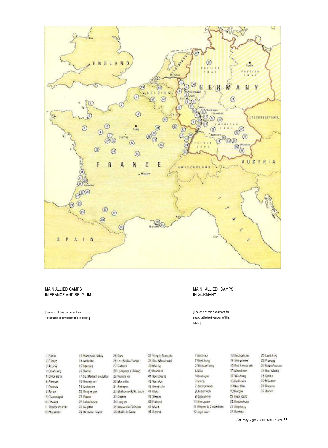

MAIN ALLIED CAMPS IN FRANCE AND BELGIUM

[See end of this document for searchable text version of this table.]

#### MAIN ALLIED CAMPS IN GERMANY

[See end of this document for searchable text version of this table.]

| 1 Barin                            | 13 Mars road Uct av     | 26 Grana                 | 17 Hike le Francois   |  |
|------------------------------------|-------------------------|--------------------------|-----------------------|--|
| 2 flame                            | 14. Aminosan            | 28 Les Sabhai-Partes     | 28 Still, Grend under |  |
| 3 AUSSe                            | 15 Baunyes              | 22 Castres               | 1314.050              |  |
| If Cherucien                       | 16 Sachac               | 28 Le Venier) il Americ  | 40 Branktik           |  |
| 5 DVICe Busin                      | 17 St. Midaro en Julian | 29 Ferraal fest          | 41 Sarrobuyet         |  |
| <b>C Alexand</b>                   | 16 Genzauprauer         | 30 Marvelle              | 42 Surralbo           |  |
| 7 Trouves                          | 19 Andernas             | 31 Англия                | 43 Detri schr         |  |
| <b>&amp; Evropt</b>                | 23 Osing majne          | 32 Mallybeau & St. Lacis | 44 微微区<br>45 Stewart  |  |
| 9 Сканопрта                        | 21 Pears                | 33 Cold Inc.             |                       |  |
| 10 Orleans                         | 22 Labourneview         |                          | 49 Erleval            |  |
| 11 Transactors Plas-<br>23 Bagasir |                         | 33 Hereinan le Children  | 47 Mars               |  |
| 12 Millstown                       | 24 Haymour Bevery       | This ally to Came        | 48 Oxtons             |  |

| I Earl frit a            |
|--------------------------|
| 2 Ramokumg               |
| 3 Wickcad Times          |
| 多发病汗                     |
| <b>BRUINER</b> CH        |
| П БУИРИ.                 |
| 7 Bratistriania          |
| B Andermach              |
| S Davidabiliti           |
| III Sontskaler           |
| 11 Bangan & Dinterstream |
| 12 leaps scars           |

25 Landslow 26 Planetar 27 Baban tassar 19 Bad Krescauch 18 Bud Alifey 79 Gelke 39 Minster 31 Browns 32 hwich

13 Hochesl view

14 Bet askers

TG Manufacin

17 Wordning

16 bolbom

19 New Story

21 Ingelated:

22 Regendeury 23 Ang daing

24 Олены

70 Вигдэн

Saturday Night / SEPTEMBER 1989 **35**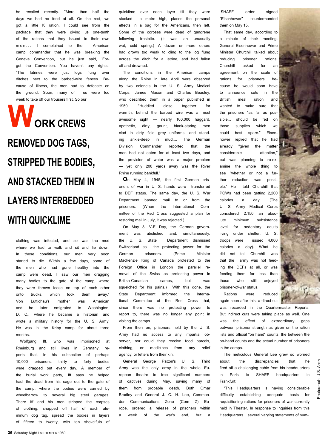he recalled recently. "More than half the days we had no food at all. On the rest, we got a little K ration. I could see from the package that they were giving us one-tenth of the rations that they issued to their own m e n . . . I complained to the American camp commander that he was breaking the Geneva Convention, but he just said, 'Forget the Convention. You haven't any rights'. "The latrines were just logs flung over ditches next to the barbed-wire fences. Because of illness, the men had to defecate on the ground. Soon, many of us were too week to take off our trousers first. So our

**WORK CREWS REMOVED DOG TAGS, STRIPPED THE BODIES, AND STACKED THEM IN LAYERS INTERBEDDED WITH QUICKLIME**

clothing was infected, and so was the mud where we had to walk and sit and lie down. In these conditions, our men very soon started to die. Within a few days, some of the men who had gone healthy into the camp were dead. I saw our men dragging many bodies to the gate of the camp, where they were thrown loose on top of each other onto trucks, which took them away." Von Luttichau's mother was American and he later emigrated to Washington, D. C., where he became a historian and wrote a military history for the U. S. Army. He was in the Kripp camp for about three months

Wolfgang Iff, who was imprisoned at Rheinburg and still lives in Germany, reports that, in his subsection of perhaps 10,000 prisoners, thirty to forty bodies were dragged out every day. A member of the burial work party, Iff says he helped haul the dead from his cage out to the gate of the camp, where the bodies were carried by wheelbarrow to several big steel garages. There Iff and his men stripped the corpses of clothing, snapped off half of each aluminum dog tag, spread the bodies in Iayers of fifteen to twenty, with ten shovelfuls of

quicklime over each layer till they were stacked a metre high, placed the personal effects in a bag for the Americans, then left. Some of the corpses were dead of gangrene following frostbite. (It was an unusually wet, cold spring.) A dozen or more others had grown too weak to cling to the log flung across the ditch for a latrine, and had fallen off and drowned.

The conditions in the American camps along the Rhine in Iate April were observed by two colonels in the U. S. Army Medical Corps, James Mason and Charles Beasley, who described them in a paper published in 1950; "Huddled close together for warmth, behind the barbed wire was a most awesome sight — nearly 100,000 haggard, apathetic, dirty, gaunt, blank-staring men clad in dirty field grey uniforms, and standing ankle-deep in mud.... The German Division Commander reported that men had not eaten for at least two days, and the provision of water was a major problem — yet only 200 yards away was the River Rhine running bankfull."

**O**n May 4, 1945, the first German prisoners of war in U. S. hands were transferred to DEF status. The same day, the U. S. War Department banned mail to or from the prisoners. (When the International Committee of the Red Cross suggested a plan for restoring mail in July, it was rejected.)

On May 8, V-E Day, the German government was abolished and, simultaneously, the U. S. State Department dismissed Switzerland as the protecting power for the German prisoners. (Prime Minister Mackenzie King of Canada protested to the Foreign Office in London the parallel removal of the Swiss as protecting power in British-Canadian camps, but was squelched for his pains.) With this done, the State Department informed the International Committee of the Red Cross that, since there was no protecting power report to, there was no longer any point in visiting the camps.

From then on, prisoners held by the U. S. Army had no access to any impartial observer, nor could they receive food parcels, clothing, or medicines from any relief agency, or letters from their kin.

General George Patton's U. S. Third Army was the only army in the whole European theatre to free significant numbers of captives during May, saving many of them from probable death. Both Omar Bradley and General J. C. H. Lee, Commander Communications Zone (Com Z) Europe, ordered a release of prisoners within a week of the war's end, but a

 SHAEF order signed "Eisenhower" countermanded them on May 15.

That same day, according to a minute of their meeting, General Eisenhower and Prime Minister Churchill talked about reducing prisoner rations Churchill asked for an agreement on the scale of rations for prisoners, because he would soon have to announce cuts in the British meal ration and wanted to make sure that the prisoners "as far as possible... should be fed on those supplies which we could best spare." Eisenhower replied that he had already "given the matter considerable attention, but was planning to re-examine the whole thing to see "whether or not a further reduction was possible." He told Churchill that POWs had been getting 2,200 calories a day. (The U. S. Army Medical Corps considered 2,150 an absolute minimum subsistence level for sedentary adults living under shelter. U. S. troops were issued 4,000 calories a day). What he did not tell Churchill was that the army was not feeding the DEFs at all, or was feeding them far less than those who still enjoyed prisoner-of-war status.

Rations were reduced again soon after this: a direct cut

was recorded in the Quartermaster Reports. But indirect cuts were taking place as weII. One was the effect of extraordinary gaps between prisoner strength as given on the ration lists and official "on hand" counts, the between the on-hand counts and the actual number of prisoners in the camps.

The meticulous General Lee grew so worried about the discrepancies that fired off a challenging cable from his headquarters in Paris to SHAEF headquarters Frankfurt:

"This Headquarters is having considerable difficulty establishing adequate basis for requisitioning rations for prisoners of war currently held in Theater. In response to inquiries from this Headquarters... several varying statements of num-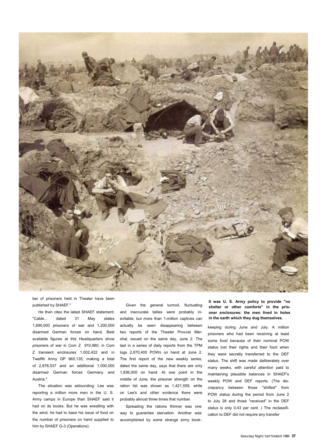

ber of prisoners held in Theater have been published by SHAEF."

He then cites the latest SHAEF statement: "Cable... dated 31 May states 1,890,000 prisoners of war and 1,200,000 disarmed German forces on hand. Best available figures at this Headquarters show prisoners of war in Com Z 910,980, in Com Z transient enclosures 1,002,422 and in Twelfth Army GP 965,135, making a total of 2,878,537 and an additional 1,000,000 disarmed German forces Germany and Austria."

The situation was astounding: Lee was reporting a million more men in the U. S. Army camps in Europe than SHAEF said it had on its books. But he was wrestling with the wind: he had to base his issue of food on the number of prisoners on hand supplied to him by SHAEF G-3 (Operations).

Given the general turmoil, fluctuating and inaccurate tallies were probably inevitable, but more than 1-million captives can actually be seen disappearing between two reports of the Theater Provost Marshal, issued on the same day, June 2. The last in a series of daily reports from the TPM logs 2,870,400 POWS on hand at June 2. The first report of the new weekly series, dated the same day, says that there are only 1,836,000 on hand. At one point in the middle of June, the prisoner strength on the ration list was shown as 1,421,559, while on Lee's and other evidence there were probably almost three times that number.

Spreading the rations thinner was one way to guarantee starvation. Another was accomplished by some strange army book**It was U. S. Army policy to provide "no shelter or other comforts" in the prisoner enclosures: the men lived in holes in the earth which they dug themselves.** 

keeping during June and July. A million prisoners who had been receiving at least some food because of their nominal POW status lost their rights and their food when they were secretly transferred to the DEF status. The shift was made deliberately over many weeks, with careful attention paid to maintaining plausible balances in SHAEF's weekly POW and DEF reports. (The discrepancy between those "shifted" from POW status during the period from June 2 to July 28 and those "received" in the DEF status is only 0.43 per cent. ) The reclassification to DEF did not require any transfer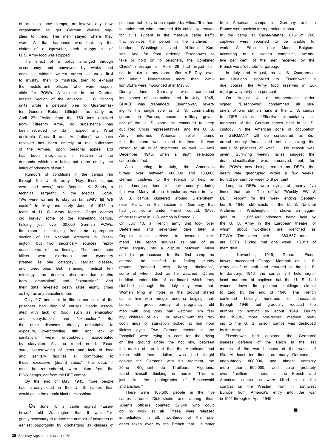of men to new camps, or involve any new organization to get German civilian supplies to them. The men stayed where they were. All that happened was that, by the clatter of a typewriter, their skimpy bit of U. S. Army food was stopped.

The effect of a policy arranged through accountancy and conveyed by winks and nods — without written orders — was first to mystify, then to frustrate, then to exhaust the middle-rank officers who were responsible for POWs. A colonel in the Quartermaster Section of the advance U. S. fighting units wrote a personal plea to Quartermaster General Robert Littlejohn as early as April 27: "Aside from the 750 tons received from Fifteenth Army, no subsistence has been received nor do I expect any. What desirable Class II and IV [rations] we have received has been entirely at the sufferance of the Armies, upon personal appeal and has been insignificant in relation to the demands which are being put upon us by the influx of prisoners of war."

Rumours of conditions in the camps ran through the U. S. army. "Hey, those camps were bad news," said Benedict K. Zobris, a technical sergeant in the Medical Corps. "We were warned to stay as far away as we could." In May and early June of 1945, a team of U. S. Army Medical Corps doctors did survey some of the Rhineland camps, holding just over 30,000 German POWs. Its report is missing from the appropriate section of the National Archives in Washington, but two secondary sources 'reproduce some of the findings. The three main killers were diarrhoea and dysentery (treated as one category), cardiac disease, and pneumonia. But, straining medical terminology, the doctors also recorded deaths from "emaciation" and "exhaustion". And their data revealed death rates eighty times as high as any peacetime norm.

Only 9.7 per cent to fifteen per cent of the prisoners had died of causes clearly associated with lack of food, such as emaciation and dehydration, and "exhaustion." But the other diseases, directly attributable to exposure, overcrowding, filth, and lack of sanitation, were undoubtedly exacerbated by starvation. As the report noted, "Exposure, overcrowding of pens and lack of food and sanitary facilities all contributed to these excessive [death] rates." The data, it must be remembered, were taken from the POW camps, not from the DEF camps.

By the end of May, 1945, more people had already died in the U. S. camps than would die in the atomic blast at Hiroshima.

**O**n June 4, a cable signed "Eisenhower" told Washington that it was "urgently necessary to reduce the number of prisoners at earliest opportunity by discharging all classes of prisoners not likely to be required by Allies. "It is hard to understand what prompted this cable. No reason for it is evident in the massive cable traffic that survives the period in the archives in London, Washington, and Abilene, Kansas. And far from ordering Eisenhower to take or hold on to prisoners, the Combined Chiefs' message of April 26 had urged him not to take in any more after V-E Day, even for labour. Nonetheless more than 2-million DEF's were impounded after May 8.

During June, Germany was partitioned into zones of occupation and in July, 1945, SHAEF was disbanded. Eisenhower, reverting to his single role as U. S. commanding general in Europe, became military governor of the U. S. zone. He continued to keep out Red Cross representatives, and the U. S. Army informed American relief teams that the zone was closed to them. It was closed to all relief shipments as well — until December, 1945, when a slight relaxation came into effect.

Also starting in July, the Americans turned over between 600,000 and 700,000 German captives to the French to help repair damages done to their country during the war. Many of the transferees were in five U. S. camps clustered around Dietersheim, near Mainz, in the section of Germany that had just come under French control. (Most of the rest were in U. S. camps in France. )

On July 10, a French army unit took over Dietersheim and seventeen days later a Captain Julien arrived to assume command. His report survives as part of an army enquiry into a dispute between Julien and his predecessor. In the first camp he entered, he testified to finding muddy ground "peopled with living skeletons", some of whom died as he watched. Others huddled under bits of cardboard which they clutched although the July day was hot. Women lying in holes in the ground stared up at him with hunger oedema bulging their bellies in gross parody of pregnancy; old men with long grey hair watched him feebly; children of six or seven with the raccoon rings of starvation looked at him from lifeless eyes. Two German doctors in the "hospital" were trying to care for the dying on the ground under the hot sky, between the marks of the tent that the Americans had taken with them. Julien, who had fought against the Germans with his regiment, the 3ème Régiment de Tirailleurs Algeriens, found himself thinking in horror "This is just like the photographs of Buchenwald and Dachau."

There were 103,500 people in the five camps around Dietersheim and among them Julien's officers counted 32,640 who could do no work at all. These were released immediately. In all, two-thirds of the prisoners taken over by the French that summer from American camps in Germany and in France were useless for reparations labour.

In the camp at Sainte-Marthe, 615 of 700 captives were reported to be unable to work. At Erbiseul near Mons, Belgium, according to a written complaint, twentyfive per cent. of the men received by the French were "déchets" or garbage.

In July and August, as U. S. Quartermaster Littlejohn signalled to Eisenhower in due course, the Army food reserves in Europe grew by thirty-nine per cent.

On August 4, a one-sentence order signed "Eisenhower" condemned all prisoners of war still on hand in the U. S. camps to DEF status. "Effective immediately all members of the German forces held in U. S. custody in the American zone of occupation in GERMANY will be considered as disarmed enemy forces and not as having the status of prisoners of war." No reason was given. Surviving weekly tallies suggest the dual classification was preserved, but, for the POWs now being treated as DEFs, the death rate quadrupled within a few weeks, from .2 per cent per week to .8 per cent.

Longtime DEFs were dying at nearly five times that rate. The official "Weekly PW & DEF Report" for the week ending September 8, 1945, still exists in the U. S. National Archives in Washington. It shows an aggregate of 1,056,482 prisoners being held by the U. S. Army in the European theatre, of whom about two-thirds are identified as POW's. The other third — 363,587 men are DEFs. During that one week, 13,051 of them died.

In November, 1945, General Eisenhower succeeded George Marshall as U. S. Army chief of staff and returned to the U. S. In January, 1946, the camps still held significant numbers of captives but the U. S. had wound down its prisoner holdings almost to zero by the end of 1946. The French continued holding hundreds of thousands through 1946, but gradually reduced the number to nothing by about 1949. During the 1950s, most non-record material relating to the U. S. prison camps was destroyed by the Army.

Eisenhower had deplored the Germans' useless defence of the Reich in the last months of the war because of the waste of life. At least ten times as many Germans undoubtedly 800,000, and almost certainly more than 900,000, and quite probably over 1-million — died in the French and American camps as were killed in all the combat on the Western front in northwest Europe from America's entry into the war in 1941 through to April, 1945.

■